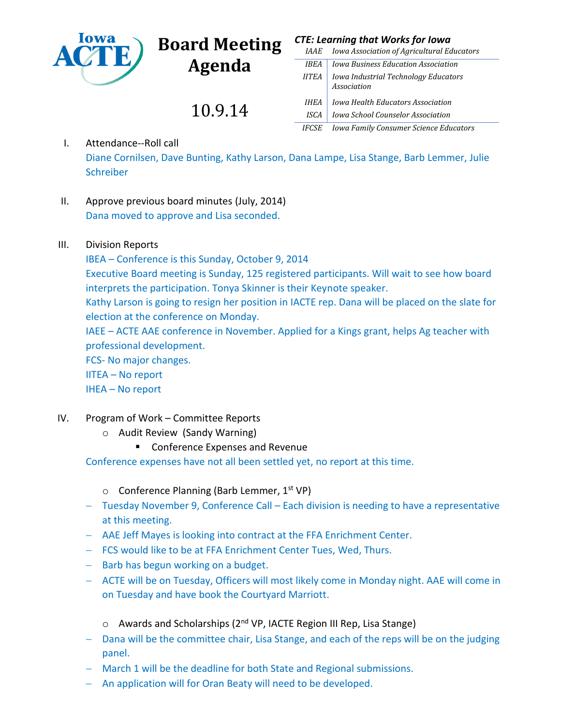

# **Board Meeting Agenda**

10.9.14

## *CTE: Learning that Works for Iowa*

| <i>IAAE</i>  | <b>Iowa Association of Agricultural Educators</b>   |
|--------------|-----------------------------------------------------|
| IREA         | <b>Iowa Business Education Association</b>          |
| <b>IITEA</b> | Iowa Industrial Technology Educators<br>Association |
| <b>IHEA</b>  | Iowa Health Educators Association                   |
| ISCA         | <b>Iowa School Counselor Association</b>            |
| <b>IFCSE</b> | <b>Iowa Family Consumer Science Educators</b>       |

I. Attendance--Roll call Diane Cornilsen, Dave Bunting, Kathy Larson, Dana Lampe, Lisa Stange, Barb Lemmer, Julie Schreiber

II. Approve previous board minutes (July, 2014) Dana moved to approve and Lisa seconded.

## III. Division Reports

IBEA – Conference is this Sunday, October 9, 2014

Executive Board meeting is Sunday, 125 registered participants. Will wait to see how board interprets the participation. Tonya Skinner is their Keynote speaker.

Kathy Larson is going to resign her position in IACTE rep. Dana will be placed on the slate for election at the conference on Monday.

IAEE – ACTE AAE conference in November. Applied for a Kings grant, helps Ag teacher with professional development.

FCS- No major changes.

IITEA – No report

IHEA – No report

- IV. Program of Work Committee Reports
	- o Audit Review (Sandy Warning)
		- **EXPENSES EXPENSES AND REVENUE**

Conference expenses have not all been settled yet, no report at this time.

- $\circ$  Conference Planning (Barb Lemmer, 1<sup>st</sup> VP)
- Tuesday November 9, Conference Call Each division is needing to have a representative at this meeting.
- AAE Jeff Mayes is looking into contract at the FFA Enrichment Center.
- FCS would like to be at FFA Enrichment Center Tues, Wed, Thurs.
- $-$  Barb has begun working on a budget.
- ACTE will be on Tuesday, Officers will most likely come in Monday night. AAE will come in on Tuesday and have book the Courtyard Marriott.
	- o Awards and Scholarships (2<sup>nd</sup> VP, IACTE Region III Rep, Lisa Stange)
- Dana will be the committee chair, Lisa Stange, and each of the reps will be on the judging panel.
- March 1 will be the deadline for both State and Regional submissions.
- An application will for Oran Beaty will need to be developed.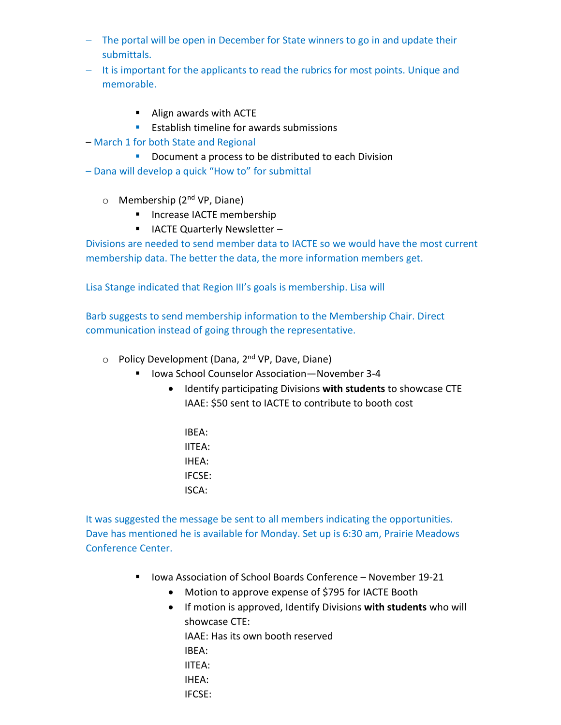- The portal will be open in December for State winners to go in and update their submittals.
- It is important for the applicants to read the rubrics for most points. Unique and memorable.
	- Align awards with ACTE
	- **Establish timeline for awards submissions**
- March 1 for both State and Regional
	- **Document a process to be distributed to each Division**
- Dana will develop a quick "How to" for submittal
	- o Membership (2<sup>nd</sup> VP, Diane)
		- **Increase IACTE membership**
		- $I$  IACTE Quarterly Newsletter –

Divisions are needed to send member data to IACTE so we would have the most current membership data. The better the data, the more information members get.

Lisa Stange indicated that Region III's goals is membership. Lisa will

Barb suggests to send membership information to the Membership Chair. Direct communication instead of going through the representative.

- o Policy Development (Dana, 2<sup>nd</sup> VP, Dave, Diane)
	- Iowa School Counselor Association-November 3-4
		- Identify participating Divisions **with students** to showcase CTE IAAE: \$50 sent to IACTE to contribute to booth cost
			- IBEA: IITEA: IHEA: IFCSE: ISCA:

It was suggested the message be sent to all members indicating the opportunities. Dave has mentioned he is available for Monday. Set up is 6:30 am, Prairie Meadows Conference Center.

- lowa Association of School Boards Conference November 19-21
	- Motion to approve expense of \$795 for IACTE Booth
	- If motion is approved, Identify Divisions **with students** who will showcase CTE:

IAAE: Has its own booth reserved

- IBEA:
- IITEA:
- IHEA:
- IFCSE: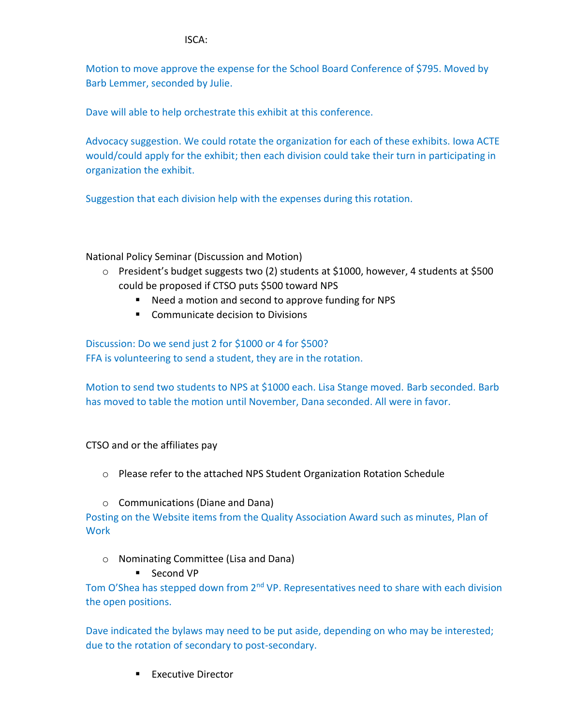Motion to move approve the expense for the School Board Conference of \$795. Moved by Barb Lemmer, seconded by Julie.

Dave will able to help orchestrate this exhibit at this conference.

Advocacy suggestion. We could rotate the organization for each of these exhibits. Iowa ACTE would/could apply for the exhibit; then each division could take their turn in participating in organization the exhibit.

Suggestion that each division help with the expenses during this rotation.

National Policy Seminar (Discussion and Motion)

- o President's budget suggests two (2) students at \$1000, however, 4 students at \$500 could be proposed if CTSO puts \$500 toward NPS
	- Need a motion and second to approve funding for NPS
	- Communicate decision to Divisions

Discussion: Do we send just 2 for \$1000 or 4 for \$500? FFA is volunteering to send a student, they are in the rotation.

Motion to send two students to NPS at \$1000 each. Lisa Stange moved. Barb seconded. Barb has moved to table the motion until November, Dana seconded. All were in favor.

## CTSO and or the affiliates pay

- o Please refer to the attached NPS Student Organization Rotation Schedule
- o Communications (Diane and Dana)

Posting on the Website items from the Quality Association Award such as minutes, Plan of **Work** 

o Nominating Committee (Lisa and Dana)

■ Second VP

Tom O'Shea has stepped down from 2<sup>nd</sup> VP. Representatives need to share with each division the open positions.

Dave indicated the bylaws may need to be put aside, depending on who may be interested; due to the rotation of secondary to post-secondary.

**Executive Director**